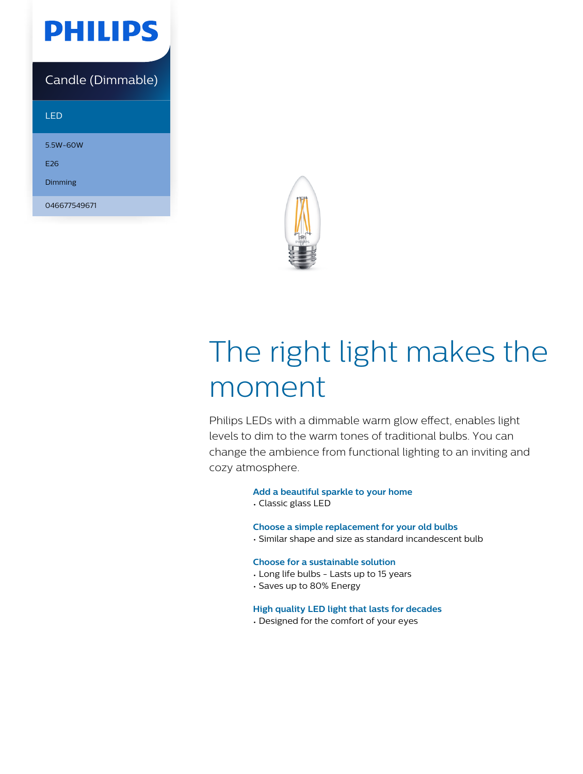

### Candle (Dimmable)

#### LED

5.5W-60W

E26

Dimming

046677549671



# The right light makes the moment

Philips LEDs with a dimmable warm glow effect, enables light levels to dim to the warm tones of traditional bulbs. You can change the ambience from functional lighting to an inviting and cozy atmosphere.

#### **Add a beautiful sparkle to your home**

• Classic glass LED

#### **Choose a simple replacement for your old bulbs**

• Similar shape and size as standard incandescent bulb

#### **Choose for a sustainable solution**

- Long life bulbs Lasts up to 15 years
- Saves up to 80% Energy

#### **High quality LED light that lasts for decades**

• Designed for the comfort of your eyes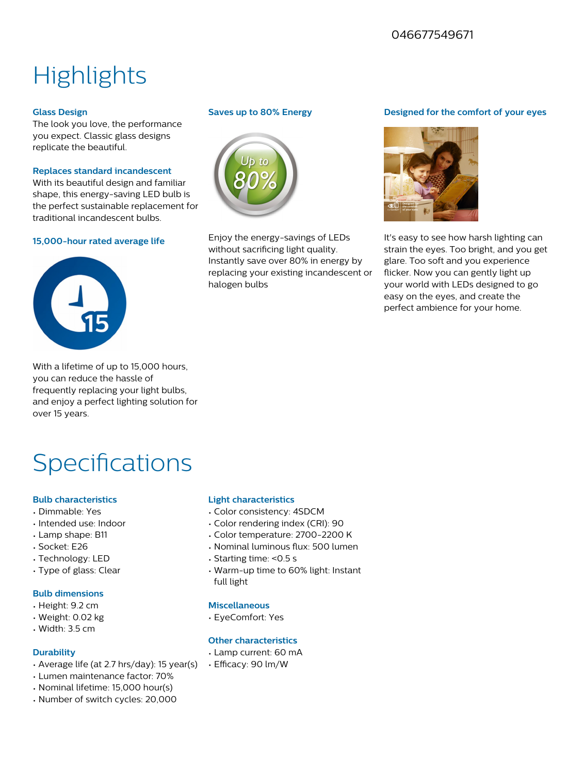### 046677549671

# **Highlights**

#### **Glass Design**

The look you love, the performance you expect. Classic glass designs replicate the beautiful.

#### **Replaces standard incandescent**

With its beautiful design and familiar shape, this energy-saving LED bulb is the perfect sustainable replacement for traditional incandescent bulbs.

#### **15,000-hour rated average life**



With a lifetime of up to 15,000 hours, you can reduce the hassle of frequently replacing your light bulbs, and enjoy a perfect lighting solution for over 15 years.

## **Specifications**

#### **Bulb characteristics**

- Dimmable: Yes
- Intended use: Indoor
- Lamp shape: B11
- Socket: E26
- Technology: LED
- Type of glass: Clear

#### **Bulb dimensions**

- Height: 9.2 cm
- Weight: 0.02 kg
- Width: 3.5 cm

#### **Durability**

- Average life (at 2.7 hrs/day): 15 year(s)
- Lumen maintenance factor: 70%
- Nominal lifetime: 15,000 hour(s)
- Number of switch cycles: 20,000

#### **Saves up to 80% Energy**



Enjoy the energy-savings of LEDs without sacrificing light quality. Instantly save over 80% in energy by replacing your existing incandescent or halogen bulbs

#### **Designed for the comfort of your eyes**



It's easy to see how harsh lighting can strain the eyes. Too bright, and you get glare. Too soft and you experience flicker. Now you can gently light up your world with LEDs designed to go easy on the eyes, and create the perfect ambience for your home.

#### **Light characteristics**

- Color consistency: 4SDCM
- Color rendering index (CRI): 90
- Color temperature: 2700-2200 K
- Nominal luminous flux: 500 lumen
- Starting time: <0.5 s
- Warm-up time to 60% light: Instant full light

#### **Miscellaneous**

• EyeComfort: Yes

#### **Other characteristics**

- Lamp current: 60 mA
- Efficacy: 90 lm/W